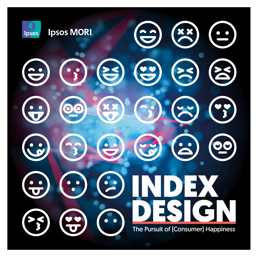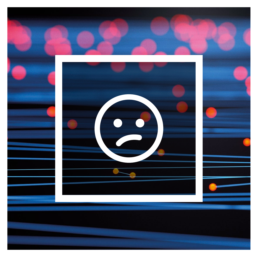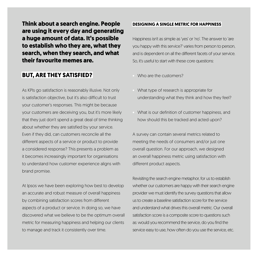**Think about a search engine. People are using it every day and generating a huge amount of data. It's possible to establish who they are, what they search, when they search, and what their favourite memes are.**

## **BUT, ARE THEY SATISFIED?**

As KPIs go satisfaction is reasonably illusive. Not only is satisfaction objective, but it's also difficult to trust your customer's responses. This might be because your customers are deceiving you, but it's more likely that they just don't spend a great deal of time thinking about whether they are satisfied by your service. Even if they did, can customers reconcile all the different aspects of a service or product to provide a considered response? This presents a problem as it becomes increasingly important for organisations to understand how customer experience aligns with brand promise.

At Ipsos we have been exploring how best to develop an accurate and robust measure of overall happiness by combining satisfaction scores from different aspects of a product or service. In doing so, we have discovered what we believe to be the optimum overall metric for measuring happiness and helping our clients to manage and track it consistently over time.

#### **DESIGNING A SINGLE METRIC FOR HAPPINESS**

Happiness isn't as simple as 'yes' or 'no'. The answer to 'are you happy with this service?' varies from person to person, and is dependent on all the different facets of your service. So, it's useful to start with these core questions:

- Who are the customers?
- What type of research is appropriate for understanding what they think and how they feel?
- What is our definition of customer happiness, and how should this be tracked and acted upon?

A survey can contain several metrics related to meeting the needs of consumers and/or just one overall question. For our approach, we designed an overall happiness metric using satisfaction with different product aspects.

Revisiting the search engine metaphor, for us to establish whether our customers are happy with their search engine provider we must identify the survey questions that allow us to create a baseline satisfaction score for the service and understand what drives this overall metric. Our overall satisfaction score is a composite score to questions such as: would you recommend the service, do you find the service easy to use, how often do you use the service, etc.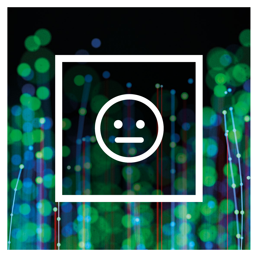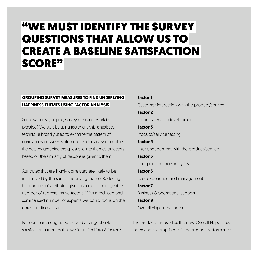# "WE MUST IDENTIFY THE SURVEY QUESTIONS THAT ALLOW US TO CREATE A BASELINE SATISFACTION SCORE"

## **GROUPING SURVEY MEASURES TO FIND UNDERLYING HAPPINESS THEMES USING FACTOR ANALYSIS**

So, how does grouping survey measures work in practice? We start by using factor analysis, a statistical technique broadly used to examine the pattern of correlations between statements. Factor analysis simplifies the data by grouping the questions into themes or factors based on the similarity of responses given to them.

Attributes that are highly correlated are likely to be influenced by the same underlying theme. Reducing the number of attributes gives us a more manageable number of representative factors. With a reduced and summarised number of aspects we could focus on the core question at hand.

For our search engine, we could arrange the 45 satisfaction attributes that we identified into 8 factors:

### **Factor 1**

Customer interaction with the product/service

### **Factor 2**

Product/service development

**Factor 3** Product/service testing

# **Factor 4**

User engagement with the product/service

## **Factor 5** User performance analytics

**Factor 6**

User experience and management

## **Factor 7** Business & operational support

# **Factor 8**

Overall Happiness Index

The last factor is used as the new Overall Happiness Index and is comprised of key product performance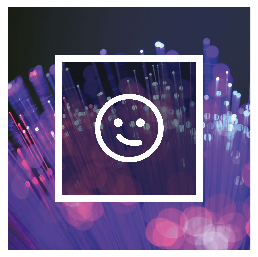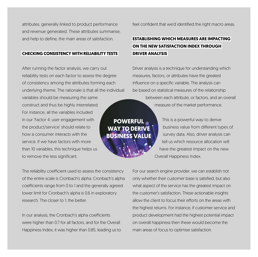attributes, generally linked to product performance and revenue generated. These attributes summarise, and help to define, the main areas of satisfaction.

#### **CHECKING CONSISTENCY WITH RELIABILITY TESTS**

After running the factor analysis, we carry out reliability tests on each factor to assess the degree of consistency among the attributes forming each underlying theme. The rationale is that all the individual

variables should be measuring the same construct and thus be highly interrelated. For instance, all the variables included in our 'Factor 4: user engagement with the product/service' should relate to how a consumer interacts with the service. If we have factors with more than 10 variables, this technique helps us to remove the less significant.

feel confident that we'd identified the right macro areas.

# **ESTABLISHING WHICH MEASURES ARE IMPACTING ON THE NEW SATISFACTION INDEX THROUGH DRIVER ANALYSIS**

Driver analysis is a technique for understanding which measures, factors, or attributes have the greatest influence on a specific variable. The analysis can be based on statistical measures of the relationship between each attribute, or factors, and an overall measure of the market performance.

**POWERFUL WAY TO DERIVE BUSINESS VALUE**

This is a powerful way to derive business value from different types of survey data. Also, driver analysis can tell us which resource allocation will have the greatest impact on the new Overall Happiness Index.

The reliability coefficient used to assess the consistency of the entire scale is Cronbach's alpha. Cronbach's alpha coefficients range from 0 to 1 and the generally agreed lower limit for Cronbach's alpha is 0.6 in exploratory research. The closer to 1, the better.

In our analysis, the Cronbach's alpha coefficients were higher than 0.7 for all factors, and for the Overall Happiness Index, it was higher than 0.85, leading us to For our search engine provider, we can establish not only whether their customer base is satisfied, but also what aspect of the service has the greatest impact on the customer's satisfaction. These actionable insights allow the client to focus their efforts on the areas with the highest returns. For instance, if customer service and product development had the highest potential impact on overall happiness then these would become the main areas of focus to optimise satisfaction.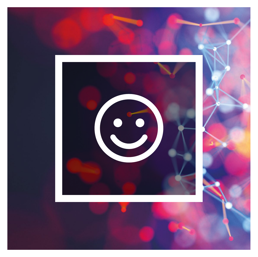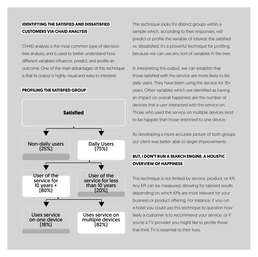## **IDENTIFYING THE SATISFIED AND DISSATISFIED CUSTOMERS VIA CHAID ANALYSIS**

CHAID analysis is the most common type of decision tree analysis, and is used to better understand how different variables influence, predict, and profile an outcome. One of the main advantages of this technique is that its output is highly visual and easy to interpret.

### **PROFILING THE SATISFIED GROUP**



This technique looks for distinct groups within a sample which, according to their responses, will predict or profile the variable of interest: the satisfied vs. dissatisfied. It's a powerful technique for profiling because we can use any sort of variables in the tree.

In interpreting this output, we can establish that those satisfied with the service are more likely to be daily users. They have been using the service for 10+ years. Other variables which we identified as having an impact on overall happiness are the number of devices that a user interacted with the service on. Those who used the service on multiple devices tend to be happier than those restricted to one device.

By developing a more accurate picture of both groups our client was better able to target improvements.

## **BUT, I DON'T RUN A SEARCH ENGINE: A HOLISTIC OVERVIEW OF HAPPINESS**

This technique is not limited by service, product, or KPI. Any KPI can be measured, allowing for tailored results depending on which KPIs are most relevant for your business or product offering. For instance, if you run a hotel you could use this technique to question how likely a customer is to recommend your service, or if you're a TV provider you might like to profile those that think TV is essential to their lives.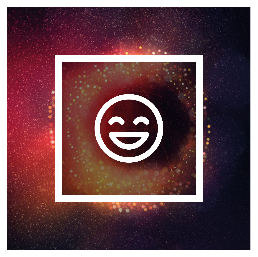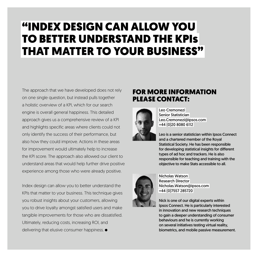# "INDEX DESIGN CAN ALLOW YOU TO BETTER UNDERSTAND THE KPIs THAT MATTER TO YOUR BUSINESS"

The approach that we have developed does not rely on one single question, but instead pulls together a holistic overview of a KPI, which for our search engine is overall general happiness. This detailed approach gives us a comprehensive review of a KPI and highlights specific areas where clients could not only identify the success of their performance, but also how they could improve. Actions in these areas for improvement would ultimately help to increase the KPI score. The approach also allowed our client to understand areas that would help further drive positive experience among those who were already positive.

Index design can allow you to better understand the KPIs that matter to your business. This technique gives you robust insights about your customers, allowing you to drive loyalty amongst satisfied users and make tangible improvements for those who are dissatisfied. Ultimately, reducing costs, increasing ROI, and delivering that elusive consumer happiness.  $\bullet$ 

# FOR MORE INFORMATION PLEASE CONTACT:



Leo Cremonezi Senior Statistician Leo.Cremonezi@ipsos.com +44 (0)20 8080 6112

Leo is a senior statistician within Ipsos Connect and a chartered member of the Royal Statistical Society. He has been responsible for developing statistical insights for different types of ad hoc and trackers. He is also responsible for teaching and training with the objective to make Stats accessible to all.



Nicholas Watson Research Director Nicholas.Watson@ipsos.com +44 (0)7557 285720

Nick is one of our digital experts within Ipsos Connect. He is particularly interested in innovation and new research techniques to gain a deeper understanding of consumer behaviours and he is currently working on several initiatives testing virtual reality, biometrics, and mobile passive measurement.